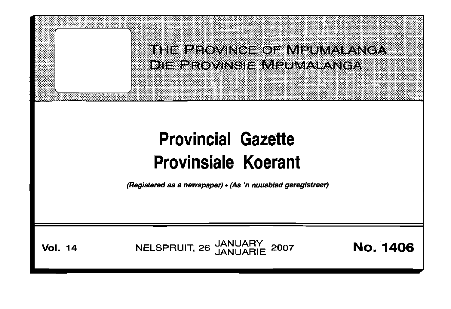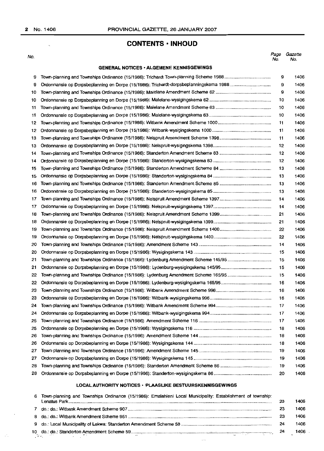2 No. 1406

## **CONTENTS, INHOUD**

Page Gazette

20 1406

No.

| υ. |                                                                                    | No. | No.  |
|----|------------------------------------------------------------------------------------|-----|------|
|    | <b>GENERAL NOTICES · ALGEMENE KENNISGEWINGS</b>                                    |     |      |
| 9  |                                                                                    | 9   | 1406 |
| 9  |                                                                                    | 9   | 1406 |
| 10 |                                                                                    | 9   | 1406 |
| 10 |                                                                                    | 10  | 1406 |
| 11 |                                                                                    | 10  | 1406 |
| 11 |                                                                                    | 10  | 1406 |
| 12 |                                                                                    | 11  | 1406 |
| 12 |                                                                                    | 11  | 1406 |
| 13 |                                                                                    | 11  | 1406 |
| 13 |                                                                                    | 12  | 1406 |
| 14 |                                                                                    | 12  | 1406 |
| 14 |                                                                                    | 12  | 1406 |
| 15 |                                                                                    | 13  | 1406 |
| 15 |                                                                                    | 13  | 1406 |
| 16 |                                                                                    | 13  | 1406 |
| 16 |                                                                                    | 13  | 1406 |
| 17 |                                                                                    | 14  | 1406 |
| 17 |                                                                                    | 14  | 1406 |
| 18 |                                                                                    | 21  | 1406 |
| 18 |                                                                                    | 21  | 1406 |
| 19 |                                                                                    | 22  | 1406 |
| 19 |                                                                                    | 22  | 1406 |
| 20 |                                                                                    | 14  | 1406 |
| 20 |                                                                                    | 15  | 1406 |
| 21 | Town-planning and Townships Ordinance (15/1986): Lydenburg Amendment Scheme 145/95 | 15  | 1406 |
| 21 |                                                                                    | 15  | 1406 |
| 22 | Town-planning and Townships Ordinance (15/1986): Lydenburg Amendment Scheme 165/95 | 15  | 1406 |
| 22 |                                                                                    | 16  | 1406 |
| 23 |                                                                                    | 16  | 1406 |
| 23 |                                                                                    | 16  | 1406 |
| 24 |                                                                                    | 17  | 1406 |
| 24 |                                                                                    | 17  | 1406 |
| 25 |                                                                                    | 17  | 1406 |
| 25 |                                                                                    | 18  | 1406 |
| 26 |                                                                                    | 18  | 1406 |
| 26 |                                                                                    | 18  | 1406 |
| 27 |                                                                                    | 19  | 1406 |
| 27 |                                                                                    | 19  | 1406 |
| 28 |                                                                                    | 19  | 1406 |

#### **LOCAL AUTHORITY NOTICES· PLAASUKE BESTUURSKENNISGEWINGS**

2B Ordonnansie op Dorpsbeplanning en Dorpe (15/1986): Standerton-wysigingskema 86 ..

| 6. | Town-planning and Townships Ordinance (15/1986): Emalahleni Local Municipality: Establishment of township: |     | 1406 |
|----|------------------------------------------------------------------------------------------------------------|-----|------|
|    |                                                                                                            | 23  | 1406 |
|    |                                                                                                            |     | 1406 |
|    |                                                                                                            | -24 | 1406 |
|    |                                                                                                            |     |      |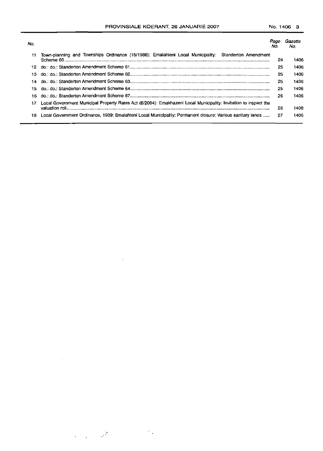| No. |                                                                                                                  | No. | Gazette<br>No. |
|-----|------------------------------------------------------------------------------------------------------------------|-----|----------------|
| 11  | Town-planning and Townships Ordinance (15/1986): Emalahleni Local Municipality: Standerton Amendment             | 24  | 1406           |
|     |                                                                                                                  |     |                |
| 12  |                                                                                                                  | 25  | 1406           |
| 13. |                                                                                                                  | 25  | 1406           |
| 14. |                                                                                                                  | 25  | 1406           |
| 15. |                                                                                                                  | 25  | 1406           |
| 16. |                                                                                                                  | 26  | 1406           |
| 17  | Local Government Municipal Property Rates Act (6/2004): Emakhazeni Local Municipality: Invitation to inspect the | 26  | 1406           |
| 18  | Local Government Ordinance, 1939: Emalahleni Local Municipality: Permanent closure: Various sanitary lanes       | 27  | 1406           |
|     |                                                                                                                  |     |                |

 $\sim 10^{-10}$ 

 $\sim 10^{-11}$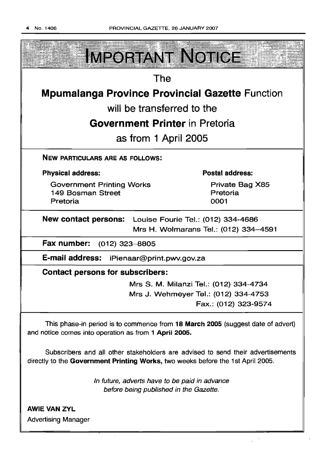

 $\epsilon_{\rm i}$ 

Advertising Manager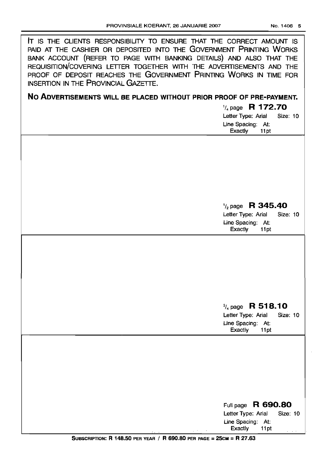IT IS THE CLIENTS RESPONSIBILITY TO ENSURE THAT THE CORRECT AMOUNT IS PAID AT THE CASHIER OR DEPOSITED INTO THE GOVERNMENT PRINTING WORKS BANK ACCOUNT (REFER TO PAGE WITH BANKING DETAILS) AND ALSO THAT THE REQUISITION/COVERING LETTER TOGETHER WITH THE ADVERTISEMENTS AND THE PROOF OF DEPOSIT REACHES THE GOVERNMENT PRINTING WORKS IN TIME FOR INSERTION IN THE PROVINCIAL GAZETTE.

## **No ADVERTISEMENTS WILL BE PLACED WITHOUT PRIOR PROOF OF PRE-PAYMENT.**

'I. page **R 172.70** Letter Type: Arial Size: 10 Line Spacing: At:

Exactly 11 pt

*'/2* page **R 345.40**

Letter Type: Arial Size: 10 Line Spacing: At: **Exactly** 

## *3/.page* **R 518.10**

Letter Type: Arial Size: 10 Line Spacing: At: **Exactly** 

| Full page R 690.80                                                   |
|----------------------------------------------------------------------|
| Letter Type: Arial Size: 10                                          |
| Line Spacing: At:                                                    |
| Exactly<br>11 pt                                                     |
| SUBSCRIPTION: R 148.50 PER YEAR / R 690.80 PER PAGE = 25CM = R 27.63 |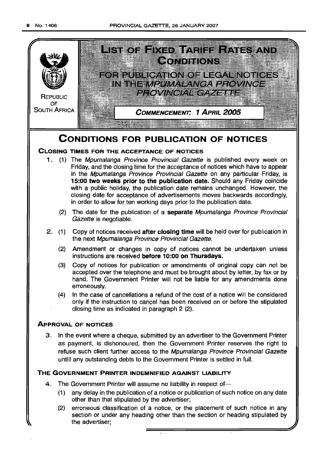

(2) erroneous classification of a notice, or the placement of such notice in any section or under any heading other than the section or heading stipulated by the advertiser;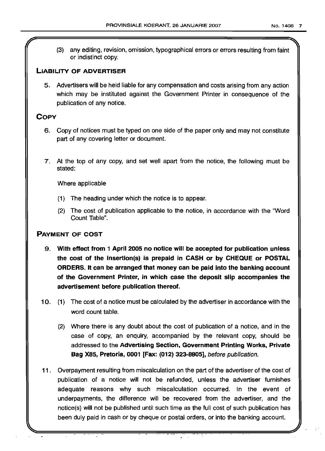(3) any editing, revision, omission, typographical errors or errors resulting from faint or indistinct copy.

### LIABILITY OF ADVERTISER

5. Advertisers will be held liable for any compensation and costs arising from any action which may be instituted against the Government Printer in consequence of the publication of any notice.

## **COPY**

- 6. Copy of notices must be typed on one side of the paper only and may not constitute part of any covering letter or document.
- 7. At the top of any copy, and set well apart from the notice, the following must be stated:

Where applicable

- (1) The heading under which the notice is to appear.
- (2) The cost of publication applicable to the notice, in accordance with the "Word Count Table".

## PAYMENT OF COST

- 9. With effect from 1 April 2005 no notice will be accepted for publication unless the cost of the insertion(s) is prepaid in CASH or by CHEQUE or POSTAL ORDERS. It can be arranged that money can be paid into the banking account of the Government Printer, in which case the deposit slip accompanies the advertisement before publication thereof.
- 10. (1) The cost of a notice must be calculated by the advertiser in accordance with the word count table.
	- (2) Where there is any doubt about the cost of publication of a notice, and in the case of copy, an enquiry, accompanied by the relevant copy, should be addressed to the Advertising Section, Government Printing Works, Private Bag X85, Pretoria, 0001 [Fax: (012) 323-8805], before publication.
- 11. Overpayment resulting from miscalculation on the part of the advertiser of the cost of publication of a notice will not be refunded, unless the advertiser furnishes adequate reasons why such miscalculation occurred. In the event of underpayments, the difference will be recovered from the advertiser, and the notice(s) will not be published until such time as the full cost of such publication has been duly paid in cash or by cheque or postal orders, or into the banking account.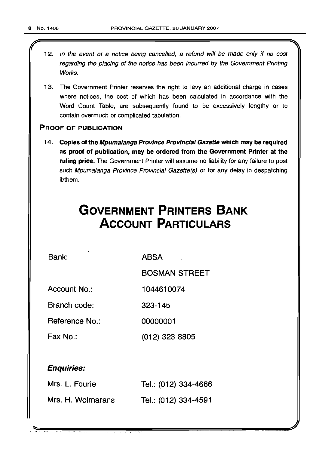(I

- 12. In the event of a notice being cancelled, a refund will be made only if no cost regarding the placing of the notice has been incurred by the Government Printing Works.
- 13. The Government Printer reserves the right to levy an additional charge in cases where notices, the cost of which has been calculated in accordance with the Word Count Table, are subsequently found to be excessively lengthy or to contain overmuch or complicated tabulation.

### PROOF OF PUBLICATION

14. Copies of the Mpumalanga Province Provincial Gazette which may be required as proof of publication, may be ordered from the Government Printer at the ruling price. The Government Printer will assume no liability for any failure to post such Mpumalanga Province Provincial Gazette(s) or for any delay in despatching it/them.

# **GOVERNMENT PRINTERS BANK ACCOUNT PARTICULARS**

Bank: ABSA

BOSMAN STREET

Account No.: 1044610074

Branch code: 323-145

Reference No.: 00000001

Fax No.: (012) 323 8805

## Enquiries:

| Mrs. L. Fourie    | Tel.: (012) 334-4686 |
|-------------------|----------------------|
| Mrs. H. Wolmarans | Tel.: (012) 334-4591 |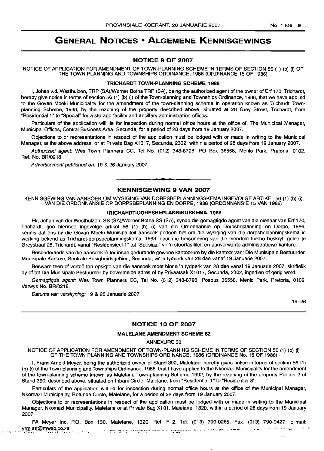## GENERAL NOTICES • ALGEMENE KENNISGEWINGS

#### NOTICE 9 OF 2007

NOTICE OF APPLICATION FOR AMENDMENT OF TOWN·PLANNING SCHEME IN TERMS OF SECTION 56 (1) (b) (i) OF THE TOWN PLANNING AND TOWNSHIPS ORDINANCE, 1986 (ORDINANCE 15 OF 1986)

#### TRICHARDT TOWN-PLANNING SCHEME, 1988

I, Johan v.d. Westhuizen, TRP (SA)/Werner Botha TRP (SA), being the authorized agent of the owner of Erf 170, Trichardt, hereby give notice in terms of section 56 (1) (b) (i) of the Town-planning and Townships Ordinance, 1986, that we have applied to the Govan Mbeki Municipality for the amendment of the town-planning scheme in operation known as Trichardt Townplanning Scheme, 1988, by the rezoning of the property described above, situated at 28 Grey Street, Trichardt, from "Residential 1" to "Special" for a storage facility and ancillary administration offices.

Particulars of the application will lie for inspection during normal office hours at the office of: The Municipal Manager, Municipal Offices, Central Business Area, Secunda, for a period of 28 days from 19 January 2007.

Objections to or representations in respect of the application must be lodged with or made in writing to the Municipal Manager, at the above address, or at Private Bag X1017, Secunda, 2302, within a period of 28 days from 19 January 2007.

Authorized agent: Wes Town Planners CC, Tel. No. (012) 348-8798, PO Box 36558, Menlo Park, Pretoria. 0102. Ref. No. BR/0218

Advertisement published on: 19 & 26 January 2007.

## **•** KENNISGEWING 9 VAN 2007

KENNISGEWING VAN AANSOEK OM WYSIGING VAN DORPSBEPLANNINGSKEMA INGEVOLGE ARTIKEL 56 (1) (b) (i) VAN DIE ORDONNANSIE OP DORPSBEPLANNING EN DORPE, 1986 (ORDONNANSIE 15 VAN 1986)

#### TRICHARDT-DORPSBEPLANNINGSKEMA, 1988

Ek, Johan van der Westhuizen, SS (SA)/Werner Botha SS (SA), synde die gemagtigde agent van die eienaar van Erf 170, Trichardt, gee hiermee ingevolge artikel 56 (1) (b) (i) van die Ordonnansie op Dorpsbeplanning en Dorpe, 1986, kennis dat ons by die Govan Mbeki Munisipaliteit aansoek gedoen het om die wysiging van die dorpsbeplanningskema in werking bekend as Trichardt-dorpsbeplanningskema, 1988, deur die hersonering van die eiendom hierbo beskryf, geleë te Greystraat 28, Trichardt, vanaf "Residensieel 1" tot "Spesiaal" vir 'n stoorfasiliteit en aanverwante administratiewe kantore.

Besonderhede van die aansoek lê ter insae gedurende gewone kantoorure by die kantoor van: Die Munisipale Bestuurder, Munisipale Kantore, Sentrale Besigheidsgebied, Secunda. vir 'n tydperk van 28 dae vanaf 19 Januarie 2007.

Besware teen of vertoë ten opsigte van die aansoek moet binne 'n tydperk van 28 dae vanaf 19 Januarie 2007, skriftelik by of tot Die Munisipale Bestuurder by bovermelde adres of by Privaatsak X1017, Secunda, 2302, ingedien of gerig word.

Gemagtigde agent: Wes Town Planners CC, Tel No. (012) 348-8798, Posbus 36558, Menlo Park, Pretoria, 0102. Verwys No. BR/0218.

Datums van verskyning: 19 & 26 Januarie 2007.

19-26

#### NOTICE 10 OF 2007

#### MALELANE AMENDMENT SCHEME 62

ANNEXURE 33

NOTICE OF APPLICATION FOR AMENDMENT OF TOWN-PLANNING SCHEME IN TERMS OF SECTION 56 (1) (b) (i) OF THE TOWN PLANNING AND TOWNSHIPS ORDINANCE, 1986 (ORDINANCE No. 15 OF 1986)

I, Frans Arnold Meyer, being the authorized owner of Stand 390, Malelane, hereby gives notice in terms of section 56 (1) (b) (i) of the Town-planning and Townships Ordinance, 1986, that I have applied to the Nkomazi Municipality for the amendment of the town-planning scheme known as Malelane Town-planning Scheme 1992, by the rezoning of the property Portion 2 of Stand 390, described above, situated on Inbani Circle, Malelane, from "Residential 1"to "Residential 3".

Particulars of the application will lie for inspection during normal office hours at the office of the Municipal Manager, Nkomazi Municipality, Rotunda Circle, Malelane, for a period of 28 days from 19 January 2007.

Objections to or representations in respect of the application must be lodged with or made in writing to the Municipal Manager, Nkomazi Municipality, Malelane or at Private Bag X101, Malelane, 1320, within a period of 28 days from 19 January 2007.

FA Meyer Inc, P.O. Box 130, Malelane, 1320. Ref: F12. Tel. (013) 790-0265. Fax. (013) 790-0427. E-mail: yrm.att@mweb.co.za ה השוטר היום והבית משפטים והשפטים במשפטים את המשפטים במשפטים במשפטים במשפטים במשפטים במשפטים היום היום היום בש<br>בית היום לי לי משפטים במשפטים במשפטים המשפטים במשפטים במשפטים במשפטים במשפטים במשפטים לי היום לי היום המשפטים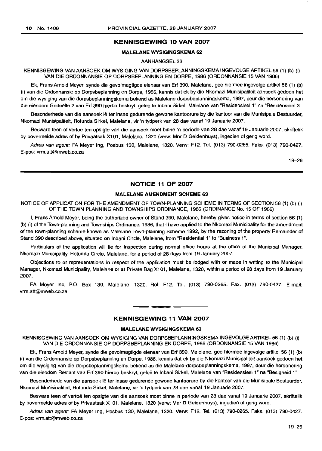#### KENNISGEWING 10 VAN 2007

#### MALELANE WYSIGINGSKEMA 62

#### AANHANGSEL 33

#### KENNISGEWING VAN AANSOEK OM WYSIGING VAN DORPSBEPLANNINGSKEMA INGEVOLGE ARTIKEL 56 (1) (b) (i) VAN DIE ORDONNANSIE OP DORPSBEPLANNING EN DORPE, 1986 (ORDONNANSIE 15 VAN 1986)

Ek, Frans Arnold Meyer, synde die gevolmagtigde eienaar van Erf 390, Malelane, gee hiermee ingevolge artikel 56 (1) (b) (i) van die Ordonnansie op Dorpsbeplanning en Dorpe, 1986, kennis dat ek by die Nkomazi Munisipaliteit aansoek gedoen het om die wysiging van die dorpsbeplanningskema bekend as Malelane-dorpsbeplanningskema, 1997, deur die hersonering van die eiendom Gedeelte 2 van Erf 390 hierbo beskryf, geleë te Inbani Sirkel, Malelane van "Residensieel 1" na "Residensieel 3".

Besonderhede van die aansoek lê ter insae gedurende gewone kantoorure by die kantoor van die Munisipale Bestuurder, Nkomazi Munisipaliteit, Rotunda Sirkel, Malelane, vir 'n tydperk van 28 dae vanaf 19 Januarie 2007.

Besware teen of vertoe ten opsigte van die aansoek moet binne 'n periode van 28 dae vanaf 19 Januarie 2007, skriftelik by bovermelde adres of by Privaatsak X101, Malelane, 1320 (verw: Mnr D Geldenhuys), ingedien of gerig word.

Adres van agent: FA Meyer lng, Posbus 130, Malelane, 1320. Verw: F12. Tel. (013) 790-0265. Faks. (013) 790-0427. E-pos: vrm.att@mweb.co.za

19-26

#### NOTICE 11 OF 2007

#### MALELANE AMENDMENT SCHEME 63

NOTICE OF APPLICATION FOR THE AMENDMENT OF TOWN-PLANNING SCHEME IN TERMS OF SECTION 56 (1) (b) (i) OF THE TOWN PLANNING AND TOWNSHIPS ORDINANCE, 1986 (ORDINANCE No. 15 OF 1986)

I, Frans Arnold Meyer, being the authorized owner of Stand 390, Malelane, hereby gives notice in terms of section 56' (1) (b) (i) of the Town-planning and Townships Ordinance, 1986, that I have applied to the Nkomazi Municipality for the amendment of the town-planning scheme known as Malelane Town-planning Scheme 1992, by the rezoning of the property Remainder of Stand 390 described above, situated on Inbani Circle, Malelane, from "Residential 1" to "Business 1".

Particulars of the application will lie for inspection during normal office hours at the office of the Municipal Manager, Nkomazi Municipality, Rotunda Circle, Malelane, for a period of 28 days from 19 January 2007.

Objections to or representations in respect of the application must be lodged with or made in writing to the Municipal Manager, Nkomazi Municipality, Malelane or at Private Bag X101, Malelane, 1320, within a period of 28 days from 19 January 2007.

FA Meyer Inc, P.O. Box 130, Malelane, 1320. Ref: F12. Tel. (013) 790-0265. Fax. (013) 790-0427. E-mail: vrm.att@mweb.co.za

#### KENNISGEWING 11 VAN 2007

#### MALELANE WYSIGINGSKEMA 63

KENNISGEWING VAN AANSOEK OM WYSIGING VAN DORPSBEPLANNINGSKEMA INGEVOLGE ARTIKEL 56 (1) (b) (i) VAN DIE ORDONNANSIE OP DORPSBEPLANNING EN DORPE, 1986 (ORDONNANSIE 15 VAN 1986)

Ek, Frans Arnold Meyer, synde die gevolmagtigde eienaar van Erf 390, Malelane, gee hiermee ingevolge artikel 56 (1) (b) (i) van die Ordonnansie op Dorpsbeplanning en Dorpe, 1986, kennis dat ek by die Nkomazi Munisipaliteit aansoek gedoen het om die wysiging van die dorpsbeplanningskema bekend as die Malelane-dorpsbeplanningskema, 1997, deur die hersonering van die eiendom Restant van Erf 390 hierbo beskryf, geleë te Inbani Sirkel, Malelane van "Residensieel 1" na "Besigheid 1".

Besonderhede van die aansoek lê ter insae gedurende gewone kantoorure by die kantoor van die Munisipale Bestuurder, Nkomazi Munisipaliteit, Rotunda Sirkel, Malelane, vir 'n tydperk van 28 dae vanaf 19 Januarie 2007.

Besware teen of vertoë ten opsigte van die aansoek moet binne 'n periode van 28 dae vanaf 19 Januarie 2007, skriftelik by bovermelde adres of by Privaatsak X101, Malelane, 1320 (verw: Mnr D Geldenhuys), ingedien of gerig word.

Adres van agent: FA Meyer lng, Posbus 130, Malelane, 1320. Verw: F12. Tel. (013) 790-0265. Faks. (013) 790-0427. E-pos: vrm.att@mweb.co.za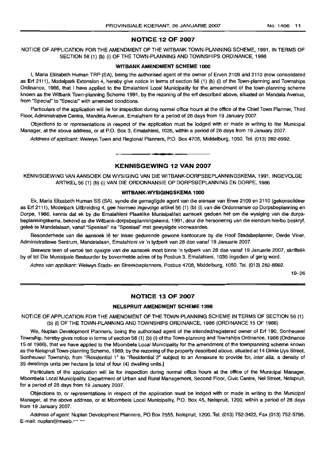#### NOTICE 12 OF 2007

#### NOTICE OF APPLICATION FOR THE AMENDMENT OF THE WITBANK TOWN-PLANNING SCHEME, 1991, IN TERMS OF SECTION 56 (1) (b) (i) OF THE TOWN-PLANNING AND TOWNSHIPS ORDINANCE, 1986

#### WITBANK AMENDMENT SCHEME 1000

I, Maria Elizabeth Human TRP (SA), being the authorised agent of the owner of Erven 2109 and 2110 (now consolidated as Erf 2111), Modelpark Extension 4, hereby give notice in terms of section 56 (1) (b) (i) of the Town-planning and Townships Ordinance, 1986, that I have applied to the Emalahleni Local Municipality for the amendment of the town-planning scheme known as the Witbank Town-planning Scheme 1991, by the rezoning of the erf described above, situated on Mandela Avenue, from "Special" to "Special" with amended conditions.

Particulars of the application will lie for inspection during normal office hours at the office of the Chief Town Planner, Third Floor, Administrative Centre, Mandela Avenue, Emalahleni for a period of 28 days from 19 January 2007.

Objections to or representations in respect of the application must be lodged with or made in writing to the Municipal Manager, at the above address, or at P.O. Box 3, Emalahleni, 1035, within a period of 28 days from 19 January 2007.

Address of applicant: Welwyn Town and Regional Planners, P.O. Box 4708, Middelburg, 1050. Tel. (013) 282-8992 .

## **•** KENNISGEWING 12 VAN 2007

KENNISGEWING VAN AANSOEK OM WYSIGING VAN DIE WITBANK-DORPSBEPLANNINGSKEMA, 1991, INGEVOLGE ARTIKEL 56 (1) (b) (i) VAN DIE ORDONNANSIE OP DORPSBEPLANNING EN DORPE, 1986

#### WITBANK-WYSIGINGSKEMA 1000

Ek, Maria Elizabeth Human SS (SA), synde die gemagtigde agent van die eienaar van Erwe 2109 en 2110 (gekonsolideer as Erf 2111), Modelpark Uitbreiding 4, gee hiermee ingevolge artikel 56 (1) (b) (i) van die Ordonnansie op Dorpsbeplanning en Dorpe, 1986, kennis dat ek by die Emalahleni Plaaslike Munisipaliteit aansoek gedoen het om die wysiging van die dorpsbeplanningskema, bekend as die Witbank-dorpsbeplanningskema, 1991, deur die hersonering van die eiendom hierbo beskryf, gelee te Mandelalaan, vanaf "Spesiaal" na "Spesiaal" met gewysigde voorwaardes.

Besonderhede van die aansoek Iê ter insae gedurende gewone kantoorure by die Hoof Stadsbeplanner, Derde Vloer, Administratiewe Sentrum, Mandelalaan, Emalahleni vir 'n tydperk van 28 dae vanaf 19 Januarie 2007.

Besware teen of vertoë ten opsigte van die aansoek moet binne 'n tydperk van 28 dae vanaf 19 Januarie 2007, skriftelik by of tot Die Munisipale Bestuurder by bovermelde adres of by Posbus 3, Emalahleni, 1035 ingedien of gerig word.

Adres van applikant: Welwyn Stads- en Streekbeplanners, Posbus 4708, Middelburg, 1050. Tel. (013) 282-8992.

19-26

#### NOTICE 13 OF 2007

#### NELSPRUIT AMENDMENT SCHEME 1398

NOTICE OF APPLICATION FOR THE AMENDMENT OF THE TOWN-PLANNING SCHEME IN TERMS OF SECTION 56 (1) (b) (i) OF THE TOWN·PLANNING AND TOWNSHIPS ORDINANCE, 1986 (ORDINANCE 15 OF 1986)

We, Nuplan Development Planners, being the authorised agent of the intended/registered owner of Erf 190, Sonheuwel Township, hereby gives notice in terms of section 56 (1) (b) (i) of the Town-planning and Townships Ordinance, 1986 (Ordinance 15 of 1986), that we have applied to the Mbombela Local Municipality for the amendment of the townplanning scheme known as the Nelspruit Town-planning Scheme, 1989, by the rezoning of the property described above, situated at 14 Dirkie Uys Street, Sonheuwel Township, from "Residential 1" to "Residential 2" subject to an Annexure to provide for, inter alia, a density of 35 dwellings units per hectare [a total of four (4) dwelling units.]

Particulars of the application will lie for inspection during normal office hours at the office of the Municipal Manager, Mbombela Local Municipality, Department of Urban and Rural Management, Second Floor, Civic Centre, Nel Street, Nelspruit, for a period of 28 days from 19 January 2007.

Objections to, or representations in respect of the application must be lodged with or made in writing to the Municipal Manager, at the above address, or at Mbombela Local Municipality, P.O. Box 45, Nelspruit, 1200, within a period of 28 days from 19 January 2007.

Address of agent: Nuplan Development Planners, PO Box 2555, Nelspruit, 1200. Tel. (013) 752-3422, Fax (013) 752-5795. E-mail: nuplan@mweb.co.za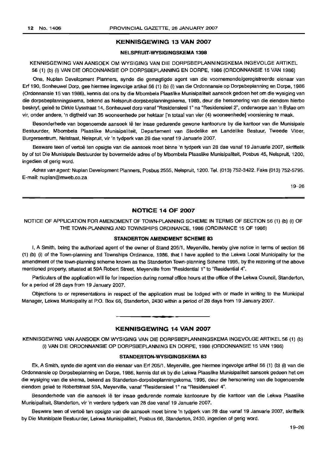#### **KENNISGEWING 13 VAN 2007**

#### **NELSPRUIT-WYSIGINGSKEMA 1398**

#### KENNISGEWING VAN AANSOEK OM WYSIGING VAN DIE DORPSBEPLANNINGSKEMA INGEVOLGE ARTIKEL 56 (1) (b) (i) VAN DIE ORDONNANSIE OP DORPSBEPLANNING EN DORPE, 1986 (ORDONNANSIE 15 VAN 1986)

Ons, Nuplan Development Planners, synde die gemagtigde agent van die voornemende/geregistreerde eienaar van Erf 190, Sonheuwel Dorp, gee hiermee ingevolge artikel 56 (1) (b) (i) van die Ordonnansie op Dorpsbeplanning en Dorpe, 1986 (Ordonnansie 15 van 1986). kennis dat ons by die Mbombela Plaaslike Munisipaliteit aansoek gedoen het om die wysiging van die dorpsbeplanningskema, bekend as Nelspruit-dorpsbeplanningskema, 1989, deur die hersonering van die eiendom hierbo beskryf, geleë te Dirkie Uysstraat 14, Sonheuwel dorp vanaf "Residensieel 1" na "Residensieel 2", onderworpe aan 'n Bylae om vir, onder andere, 'n digtheid van 35 wooneenhede per hektaar ['n totaal van vier (4) wooneenhede] voorsiening te maak.

Besonderhede van bogenoemde aansoek Ie ter insae gedurende gewone kanloorure by die kantoor van die Munisipale Bestuurder, Mbombela Plaaslike Munisipaliteit, Departement van Stedelike en Landelike Bestuur, Tweede Vloer, Burgersentrum, Nelstraat, Nelspruit, vir 'n tydperk van 28 dae vanaf 19 Januarie 2007.

Besware teen of vertoë ten opsigte van die aansoek moet binne 'n tydperk van 28 dae vanaf 19 Januarie 2007, skriftelik by of tot Die Munisipale Bestuurder by bovermelde adres of by Mbombela Plaaslike Munisipalileit, Posbus 45, Nelspruit, 1200, ingedien of gerig word.

Adres van agent: Nuplan Development Planners, Posbus 2555, Nelspruit, 1200. Tel. (013) 752-3422. Faks (013) 752-5795. E-mail: nuplan@mweb.co.za

19-26

#### **NOTICE 14 OF 2007**

NOTICE OF APPLICATION FOR AMENDMENT OF TOWN-PLANNING SCHEME IN TERMS OF SECTION 56 (1) (b) (i) OF THE TOWN-PLANNING AND TOWNSHIPS ORDINANCE, 1986 (ORDINANCE 15 OF 1986)

#### **STANDERTON AMENDMENT SCHEME 83**

I, A Smith, being the authorized agent of the owner of Stand 205/1, Meyerville, hereby give notice in terms of section 56 (1) (b) (i) of the Town-planning and Townships Ordinance, 1986, that I have applied to the Lekwa Local Municipality for the amendment of the town-planning scheme known as the Standerton Town-planning Scheme 1995, by the rezoning of the above mentioned property, situated at 59A Robert Street, Meyerville from "Residential 1" to "Residential 4".

Particulars of the application will lie for inspection during normal office hours at the office of the Lekwa Council, Standerton, for a period of 28 days from 19 January 2007.

Objections to or representations in respect of the application must be lodged with or made in writing to the Municipal Manager, Lekwa Municipality at P.O. Box 66, Standerton, 2430 within a period of 28 days from 19 January 2007.

#### **KENNISGEWING 14 VAN 2007**

**•**

KENNISGEWING VAN AANSOEK OM WYSIGING VAN DIE DORPSBEPLANNINGSKEMA INGEVOLGE ARTIKEL 56 (1) (b) (i) VAN DIE ORDONNANSIE OP DORPSBEPLANNING EN DORPE, 1986 (ORDONNANSIE 15 VAN 1986)

#### **STANDERTON-WYSIGINGSKEMA** 83

Ek, A Smith, synde die agent van die eienaar van Erf 205/1, Meyerville, gee hiermee ingevolge arlikel 56 (1) (b) (i) van die Ordonnansie op Dorpsbeplanning en Dorpe, 1986, kennis dat ek by die Lekwa Plaaslike Munisipaliteit aansoek gedoen het om die wysiging van die skema, bekend as Standerton-dorpsbeplanningskema, 1995, deur die hersonering van die bogenoemde eiendom gelee te Robertstraat 59A, Meyerville, vanaf "Residensieel 1" na "Residensieel 4",

Besonderhede van die aansoek lê ter insae gedurende normale kantoorure by die kantoor van die Lekwa Plaaslike Munisipaliteil, Standerton, vir 'n verdere tydperk van 28 dae vanaf 19 Januarie 2007.

Besware teen of vertoe ten opsigte van die aansoek moet binne 'n tydperk van 28 dae vanaf 19 Januarie 2007, skriftelik by Die Munisipale Bestuurder, Lekwa Munisipaliteit, Posbus 66, Standerton, 2430, ingedien of gerig word.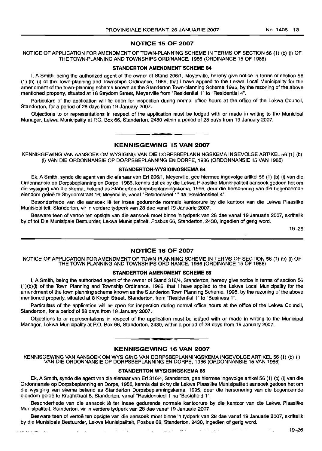#### **NOTICE 15 OF 2007**

NOTICE OF APPLICATION FOR AMENDMENT OF TOWN-PLANNING SCHEME IN TERMS OF SECTION 56 (1) (b) (i) OF THE TOWN-PLANNING AND TOWNSHIPS ORDINANCE, 1986 (ORDINANCE 15 OF 1986)

#### **STANDERTON AMENDMENT SCHEME** B4

I, A Smith, being the authorized agent of the owner of Stand 206/1, Meyerville, hereby give notice in terms of section 56 (1) (b) (i) of the Town-planning and Townships Ordinance, 1986, that I have applied to the Lekwa Local Municipality for the amendment of the town-planning scheme known as the Standerton Town-planning Scheme 1995, by the rezoning of the above mentioned property, situated at 16 Strydom Street, Meyerville from "Residential 1" to "Residential 4".

Particulars of the application will lie open for inspection during normal office hours at the office of the Lekwa Council, Standerton, for a period of 28 days from 19 January 2007.

Objections to or representations in respect of the application must be lodged with or made in writing to the Municipal Manager, Lekwa Municipality at P.O. Box 66, Standerton, 2430 within a period of 28 days from 19 January 2007.

**• •**

#### **KENNISGEWING 15 VAN 2007**

KENNISGEWING VAN AANSOEK OM WYSIGING VAN DIE DORPSBEPLANNINGSKEMA INGEVOLGE ARTIKEL 56 (1) (b) (I) VAN DIE ORDONNANSIE OP DORPSBEPLANNING EN DORPE, 1986 (ORDONNANSIE 15 VAN 1986)

#### **STANDERTON-WYSIGINGSKEMA** 84

Ek, A Smith, synde die agent van die eienaar van Erf 206/1, Meyerville, gee hiermee ingevolge artikel 56 (1) (b) (i) van die Ordonnansie op Dorpsbeplanning en Dorpe, 1986, kennis dat ek by die Lekwa Plaaslike Munisipalitelt aansoek gedoen het om die wysiging van die skema, bekend as Standerton-dorpsbeplanningskema, 1995, deur die hersonering van die bogenoemde eiendom geleë te Strydomstraat 16, Meyerville, vanaf "Residensieel 1" na "Residensieel 4".

Besonderhede van die aansoek lê ter insae gedurende normale kantoorure by die kantoor van die Lekwa Plaaslike Munisipaliteit, Standerton, vir 'n verdere tydperk van 28 dae vanaf 19 Januarie 2007.

Besware teen of vertoë ten opsigte van die aansoek moet binne 'n tydperk van 28 dae vanaf 19 Januarie 2007, skriftelik by of tot Die Munisipale Bestuurder, Lekwa Munisipaliteit, Posbus 66, Standerton, 2430, ingedien of gerig word.

19--26

#### **NOTICE 16 OF 2007**

NOTICE OF APPLICATION FOR AMENDMENT OF TOWN PLANNING SCHEME IN TERMS OF SECTION 56 (1) (b) (i) OF THE TOWN PLANNING AND TOWNSHIPS ORDINANCE, 1986 (ORDINANCE 15 OF 1986)

#### **STANDERTON AMENDMENT SCHEME** 85

I, A Smith, being the authorized agent of the owner of Stand 316/4, Standerton, hereby give notice in terms of section 56 (1)(b)(i) of the Town Planning and Township Ordinance, 1986, that I have applied to the Lekwa Local Municipality for the amendment of the town planning scheme known as the Standerton Town Planning Scheme, 1995, by the rezoning of the above mentioned property, situated at 8 Krogh Street, Standerton, from "Residential 1" to "Business 1".

Particulars of the application will lie open for inspection during normal office hours at the office of the Lekwa Council, Standerton, for a period of 28 days from 19 January 2007.

Objections to or representations in respect of the application must be lodged with or made in writing to the Municipal Manager, Lekwa Municipality at P.O. Box 66, Standerton, 2430, within a period of 28 days from 19 January 2007.

#### **KENNISGEWING 16 VAN 2007**

KENNISGEWING VAN AANSOEK OM WYSIGING VAN DORPSBEPLANNINGSKEMA INGEVOLGE ARTIKEL 56 (1) (b) (i)<br>VAN DIE ORDONNANSIE OP DORPSBEPLANNING EN DORPE, 1986 (ORDONNANSIE 15 VAN 1986)

#### **STANDERTON WYSIGINGSKEMA** 85

Ek, A Smith, synde die agent van die eienaar van Erf 316/4, Standerton, gee hiermee ingevolge artikel56 (1) (b) (i) van die Ordonnansie op Dorpsbeplanning en Dorpe, 1986, kennis dat ek by die Lekwa Plaaslike Munisipaliteit aansoek gedoen het om die wysiging van skema bekend as Standerton Dorpsbeplanningskema, 1995, deur die hersonering van die bogenoemde eiendom geleë te Kroghstraat 8, Standerton, vanaf "Residensieel 1 na "Besigheid 1".

Besonderhede van die aansoek lê ter insae gedurende normale kantoorure by die kantoor van die Lekwa Plaaslike Munisipaliteit, Standerton, vir 'n verdere tydperk van 28 dae vanaf 19 Januarie 2007.

Besware teen of vertoë ten opsigte van die aansoek moet binne 'n tydperk van 28 dae vanaf 19 Januarie 2007, skriftelik by die Munisipale Bestuurder, Lekwa Munisipaliteit, Posbus 66, Standerton, 2430, ingedien of gerig word.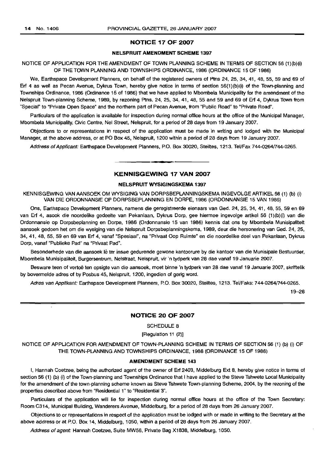#### **NOTICE 17 OF 2007**

#### **NELSPRUIT AMENDMENT SCHEME** 1397

#### NOTICE OF APPLICATION FOR THE AMENDMENT OF TOWN PLANNING SCHEME IN TERMS OF SECTION 56 (1)(b)(i) OF THE TOWN PLANNING AND TOWNSHIPS ORDINANCE, 1986 (ORDINANCE 15 OF 1986)

We, Earthspace Development Planners, on behalf of the registered owners of Ptns 24, 25, 34, 41, 48, 55, 59 and 69 of Erf 4 as well as Pecan Avenue, Dykrus Town, hereby give notice in terms of section 56(1)(b)(i) of the Town-planning and Townships Ordinance, 1986 (Ordinance 15 of 1986) that we have applied to Mbombela Municipality for the amendment of the Nelspruit Town-planning Scheme, 1989, by rezoning Ptns. 24, 25, 34, 41, 48, 55 and 59 and 69 of Erf 4, Dykrus Town from "Special" to "Private Open Space" and the northern part of Pecan Avenue, from "Public Road" to "Private Road".

Particulars of the application is available for inspection during normal office hours at the office of the Municipal Manager, Mbombela Municipality, Civic Centre, Nel Street, Nelspruit, for a period of 28 days from 19 January 2007.

Objections to or representations in respect of the application must be made in writing and lodged with the Municipal Manager, at the above address, or at PO Box 45, Nelspruit, 1200 within a period of 28 days from 19 January 2007.

Address of Applicant: Earthspace Development Planners, P.O. Box 30020, Steiltes, 1213. Tel/Fax 744-0264/744-0265.

#### **KENNISGEWING 17 VAN 2007**

**•**

#### **NELSPRUIT WYSIGINGSKEMA** 1397

KENNISGEWING VAN AANSOEK OM WYSIGING VAN DORPSBEPLANNINGSKEMA INGEVOLGE ARTIKEL 56 (1) (b) (i) VAN DIE ORDONNANSIE OP DORPSBEPLANNING EN DORPE, 1986 (ORDONNANSIE 15 VAN 1986)

Ons, Earthspace Development Planners, namens die geregistreerde eienaars van Ged. 24, 25, 34, 41,48,55,59 en 69 van Erf 4, asook die noordelike gedeelte van Pekanlaan, Dykrus Dorp, gee hiermee ingevolge artikel 56 (1)(b)(i) van die Ordonnansie op Dorpsbeplanning en Dorpe, 1986 (Ordonnansie 15 van 1986) kennis dat ons by Mbombela Munisipaliteit aansoek gedoen het om die wysiging van die Nelspruit Dorpsbeplanningskema, 1989, deur die hersonering van Ged. 24, 25, 34,41,48,55,59 en 69 van Erf 4, vanaf "Spesiaal", na "Privaat Oop Ruimte" en die noordelike deel van Pekanlaan, Dykrus Dorp, vanaf "Publieke Pad" na "Privaat Pad".

Besonderhede van die aansoek lê ter insae gedurende gewone kantoorure by die kantoor van die Munisipale Bestuurder, Mbombela Munisipaliteit, Burgersentrum, Nelstraat, Nelspruit, vir 'n tydperk van 28 dae vanaf 19 Januarie 2007.

Besware teen of vertoe ten opsigte van die aansoek, moet binne 'n tydperk van 28 dae vanaf 19 Januarie 2007, skriftelik by bovermelde adres of by Posbus 45, Nelspruit, 1200, ingedien of gerig word.

Adres van Applikant: Earthspace Development Planners, P.O. Box 30020, Steiltes, 1213. Tel/Faks: 744-0264/744-0265.

19-26

#### **NOTICE 20 OF 2007**

#### SCHEDULE 8

[Regulation 11 (2)]

NOTICE OF APPLICATION FOR AMENDMENT OF TOWN-PLANNING SCHEME IN TERMS OF SECTION 56 (1) (b) (i) OF THE TOWN-PLANNING AND TOWNSHIPS ORDINANCE, 1986 (ORDINANCE 15 OF 1986)

#### **AMENDMENT SCHEME** 143

I, Hannah Coetzee, being the authorized agent of 1he owner of Erf 2403, Middelburg Ext 8, hereby give notice in terms of section 56 (1) (b) (i) of the Town-planning and Townships Ordinance that I have applied to the Steve Tshwete Local Municipality for the amendment of the town-planning scheme known as Steve Tshwete Town-planning Scheme, 2004, by the rezoning of the properties described above from "Residential 1" to "Residential 3".

Particulars of the application will lie for inspection during normal office hours at the office of the Town Secretary: Room C314, Municipal Building, Wanderers Avenue, Middelburg, for a period of 28 days from 26 January 2007.

Objections to or representations in respect of the application must be lodged with or made in writing to the Secretary at the above address or at P.O. Box 14, Middelburg, 1050, within a period of 28 days from 26 January 2007.

Address of agent: Hannah Coetzee, Suite MW56, Private Bag X1838, Middelburg, 1050.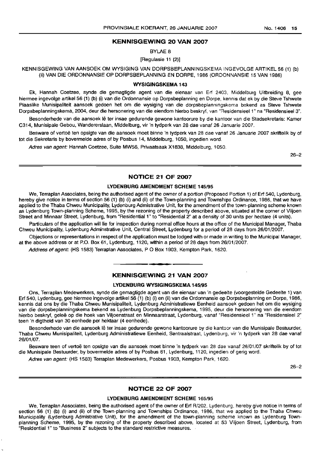#### **KENNISGEWING 20 VAN 2007**

BYLAE 8

[Regulasie 11 (2)]

KENNISGEWING VAN AANSOEK OM WYSIGING VAN DORPSBEPLANNINGSKEMA INGEVOLGE ARTIKEL 56 (1) (b) (ii) VAN DIE ORDONNANSIE OP DORPSBEPLANNING EN DORPE, 1986 (ORDONNANSIE 15 VAN 1986)

#### **WYSIGINGSKEMA** 143

Ek, Hannah Coetzee, synde die gemagtigde agent van die eienaar van Erf 2403, Middelburg Uitbreiding 8, gee hiermee ingevolge artikel56 (1) (b) (i) van die Ordonnansie op Dorpsbeplanning en Dorpe, kennis dat ek by die Steve Tshwete Plaaslike Munisipaliteit aansoek gedoen het om die wysiging van die dorpsbeplanningskema bekend as Steve Tshwete Dorpsbeplanningskema, 2004, deur die hersonering van die eiendom hierbo beskryf, van "ResidensieeI1" na "Residensieel 3".

Besonderhede van die aansoek lê ter insae gedurende gewone kantoorure by die kantoor van die Stadsekretaris: Kamer C314, Munisipale Gebou, Wandererslaan, Middelburg, vir 'n tydperk van 28 dae vanaf 26 Januarie 2007.

Besware of vertoë ten opsigte van die aansoek moet binne 'n tydperk van 28 dae vanaf 26 Januarie 2007 skriftelik by of tot die Sekretaris by bovermelde adres of by Posbus 14, Middelburg, 1050, ingedien word.

Adres van agent: Hannah Coetzee, Suite MW56, Privaatsaak X1838, Middelburg, 1050.

26-2

#### **NOTICE 21 OF 2007**

#### **LYDENBURG AMENDMENT SCHEME** 145/95

We, Terraplan Associates, being the authorised agent of the owner of a portion (Proposed Portion 1) of Erf 540, Lydenburg, hereby give notice in terms of section 56 (1) (b) (i) and (ii) of the Town-planning and Townships Ordinance, 1986, that we have applied to the Thaba Chweu Municipality, Lydenburg Admistrative Unit, for the amendment of the town-planning scheme known as Lydenburg Town-planning Scheme, 1995, by the rezoning of the property described above, situated at the corner of Viljoen Street and Minnaar Street, Lydenburg, from "Residential 1" to "Residential 2" at a density of 30 units per hectare (4 units).

Particulars of the application will lie for inspection during normal office hours at the office of the Municipal Manager, Thaba Chweu Municipality, Lydenburg Adminstrative Unit, Central Street, Lydenburg for a period of 28 days from 26/01/2007.

Objections or representations in respect of the application must be lodged with or made in writing to the Municipal Manager, at the above address or at P.O. Box 61, Lydenburg, 1120, within a period of 28 days from 26/01/2007.

Address of agent: (HS 1583) Terraplan Associates, P O Box 1903, Kempton Park, 1620.

## **• KENNISGEWING 21 VAN 2007**

#### **LYDENBURG WYSIGINGSKEMA** 145/95

Ons, Terraplan Medewerkers, synde die gemagtigde agent van die eienaar van 'n gedeelte (voorgestelde Gedeelte 1) van Erf 540, Lydenburg, gee hiermee ingevolge artikel 56 (1) (b) (i) en (ii) van die Ordonnansie op Dorpsbeplanning en Dorpe, 1986, kennis dat ons by die Thaba Chweu Munisipaliteit, Lydenburg Administratiewe Eenheid aansoek gedoen het om die wysiging van die dorpsbeplanningskema bekend as Lydenburg Dorpsbeplanningskema, 1995, deur die hersonering van die eiendom hierbo beskryf, geleë op die hoek van Viljoenstraat en Minnaarstraat, Lydenburg, vanaf "Residensieel 1" na "Residensieel 2" teen 'n digtheid van 30 eenhede per hektaar (4 eenhede). .

Besonderhede van die aansoek lê ter insae gedurende gewone kantoorure by die kantoor van die Munisipale Bestuurder, Thaba Chweu Munisipaliteit, Lydenburg Administratiewe Eenheid, Sentraalstraat, Lydenburg, vir 'n tydperk van 28 dae vanaf 26/01/07.

Besware teen of vertoë ten opsigte van die aansoek moet binne 'n tydperk van 28 dae vanaf 26/01/07 skriftelik by of tot die Munisipale Bestuurder, by bovermelde adres of by Posbus 61, Lydenburg, 1120, ingedien of gerig word.

Adres van agent: (HS 1583) Terraplan Medewerkers, Posbus 1903, Kempton Park, 1620.

26-2

#### **NOTICE 22 OF 2007**

#### **LYDENBURG AMENDMENT SCHEME** 165/95

We, Terraplan Associates, being the authorised agent of the owner of Erf R/202, Lydenburg, hereby give notice in terms of section 56 (1) (b) (i) and (ii) of the Town-planning and Townships Ordinance, 1986, that we applied to the Thaba Chweu Municipality (Lydenburg Admistrative Unit), for the amendment of the town-planning scheme known as Lydenburg Townplanning Scheme, 1995, by the rezoning of the property described above, located at 53 Viljoen Street, Lydenburg, from "Residential 1" to "Business 2" subjects to the standard restrictive measures.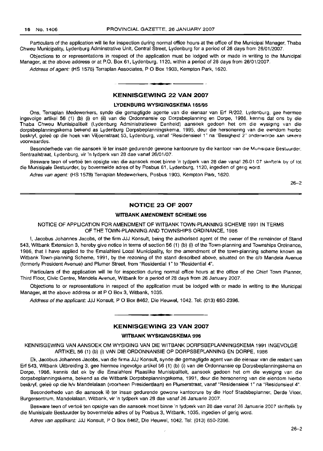Particulars of the application will lie for inspection during normal office hours at the office of the Municipal Manager, Thaba Chweu Municipality, Lydenburg Adminstrative Unit, Central Street, Lydenburg for a period of 28 days from 26/01/2007,

Objections to or representations in respect of the application must be lodged with or made in writing to the Municipal Manager, at the above address or at P.O. Box 61, Lydenburg, 1120, within a period of 28 days from 26/01/2007.

Address of agent: (HS 1578) Terraplan Associates, P O Box 1903, Kempton Park, 1620.

#### **KENNISGEWING 22 VAN** 2007

#### LYDENBURG WYSIGINGSKEMA 165/95

Ons, Terraplan Medewerkers, synde die gemagtigde agente van die eienaar van Erf *R/202.* Lydenburg, gee ruerrnee ingevolge artikel 56 (1) (b) (i) en (ii) van die Ordonnansie op Dorpsbeplanning en Dorpe, 1966. kenrus dat ons by die Thaba Chweu Munisipaliteit (Lydenburg Administratiewe Eenheid) aansoek gedoen het om die wysiging van die dorpsbeplanningskema bekend as Lydenburg Dorpsbeplanningskema, 1995, deur die hersonering van die eiendom hierbo beskryf, geleë op die hoek van Viljoenstraat 53, Lydenburg, vanaf "Residensieel 1" na "Besigheid 2" onderworpe aan sekero voorwaardes.

Besonderhede van die aansoek lê ter insae gedurende gewone kantoorure by die kantoor van die Munisipale Bestuurder, Sentraalstraat, Lydenburg, vir 'n tydperk van 26 dae vanaf *26/01/07.*

Besware teen of vertoë ten opsigte van die aansoek moet binne 'n tydperk van 28 dae vanaf 26.01 07 skriftelik by of tot die Munisipale Bestuurder. by bovermelde adres of by Posbus 61, Lydenburg, 1120, ingedien of geng word.

Adres van agent: (HS 1578) Terraplan Medewerkers, Posbus 1903, Kempton Park, 1620.

26-2

#### **NOTICE 23 OF** 2007

#### WITBANK AMENDMENT SCHEME 996

NOTICE OF APPLICATION FOR AMENDMENT OF WITBANK TOWN-PLANNING SCHEME 1991 IN TERMS OF THE TOWN-PLANNING AND TOWNSHIPS ORDINANCE. 1986

I, Jacobus Johannes Jacobs, of the firm JJJ Konsult, being the authorised agent of the owner of the remainder of Stand 543, Witbank Extension 3, hereby give notice in terms of section 56 (1) (b) (i) of the Town-planning and Townships Ordinance, 1986, that I have applied to the Emalahleni Local Municipality, for the amendment of the town-planning scheme known as Witbank Town-planning Scheme, 1991, by the rezoning of the stand described above, situated on the c/o Mandela Avenue (formerly President Avenue) and Plumer Street, from "Residential 1" to "Residential 4".

Particulars of the application will lie for inspection during normal office hours at the office of the Chief Town Planner, Third Floor, Civic Centre. Mandela Avenue, Witbank for a period of 26 days from 26 January 2007.

Objections to or representations in respect of the application must be lodged with or made in writing to the Municipal Manager, at the above address or at P O Box 3, Witbank, 1035.

Address of the applicant: JJJ Konsult, P O Box 8462, Die Heuwel, 1042. Tel: (013) 650-2396.

#### **KENNISGEWING 23 VAN** 2007

#### WITBANK WYSIGINGSKEMA 996

KENNISGEWING VAN AANSOEK OM WYSIGING VAN DIE WITBANK DORPSBEPLANNINGSKEMA 1991 INGEVOLGE ARTIKEL 56 (1) (b) (i) VAN DIE ORDONNANSIE OP DORPSBEPLANNING EN DORPE, 1986

Ek, Jacobus Johannes Jacobs, van die firma JJJ Konsult, synde die gemagtigde agent van die eienaar van die restant van Erf 543, Witbank Uitbreiding 3, gee hiermee ingevolge artikel 56 (1) (b) (i) van die Ordonnansie op Dorpsbeplanningskema en Dorpe, 1986, kennis dat ek by die Emalahleni Plaaslike Munisipaliteit, aansoek gedoen het om die wysiging van die dorpsbeplanningskema, bekend as die Witbank Dorpsbeplanningskema, 1991, deur die hersonering van die eiendom hierbo beskryf, geleë op die h/v Mandelalaan (voorheen Presidentlaan) en Plumerstraat, vanaf "Residensieel 1" na "Residensieel 4".

Besonderhede van die aansoek lê ter insae gedurende gewone kantoorure by die Hoof Stadsbeplanner, Derde Vloer, Burgersentrum, Mandelalaan, Witbank, vir 'n tydperk van 26 dae vanaf 26 Januarie 2007.

Besware teen of vertoe ten opsigte van die aansoek moet binne 'n tydperk van 28 dae vanaf 26 Januarie 2007 skriftelik by die Munisipale Bestuurder by bovermelde adres of by Posbus 3. Witbank, 1035, ingedien of gerig word.

Adres van applikant: JJJ Konsult, POBox 8462, Die Heuwel, 1042. Tel: (013) 650-2396.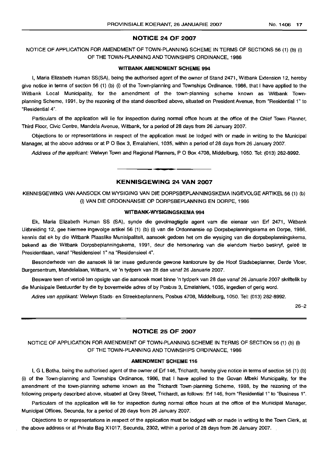#### **NOTICE 24 OF** 2007

### NOTICE OF APPLICATION FOR AMENDMENT OF TOWN-PLANNING SCHEME IN TERMS OF SECTIONS 56 (1) (b) (i) OF THE TOWN-PLANNING AND TOWNSHIPS ORDINANCE, 1986

#### WITBANK AMENDMENT SCHEME 994

I, Maria Elizabeth Human SS(SA), being the authorised agent of the owner of Stand 2471, Witbank Extension 12, hereby give notice in terms of section 56 (1) (b) (i) of the Town-planning and Townships Ordinance, 1986, that I have applied to the Witbank Local Municipality, for the amendment of the town-planning scheme known as Witbank Townplanning Scheme, 1991, by the rezoning of the stand described above, situated on President Avenue, from "Residential 1" to "Residential 4".

Particulars of the application will lie for inspection during normal office hours at the office of the Chief Town Planner, Third Floor, Civic Centre, Mandela Avenue, Witbank, for a period of 28 days from 26 January 2007.

Objections to or representations in respect of the application must be lodged with or made in writing to the Municipal Manager, at the above address or at PO Box 3, Emalahleni, 1035, within a period of 28 days from 26 January 2007.

Address of the applicant: Welwyn Town and Regional Planners, P O Box 4708, Middelburg, 1050. Tel: (013) 282-8992.

#### **KENNISGEWING 24 VAN** 2007

KENNISGEWING VAN AANSOEK OM WYSIGING VAN DIE DORPSBEPLANNINGSKEMA INGEVOLGE ARTIKEL 56 (1) (b) (i) VAN DIE ORDONNANSIE OP DORPSBEPLANNING EN DORPE, 1986

#### WITBANK-WYSIGINGSKEMA 994

Ek, Maria Elizabeth Human SS (SA), synde die gevolmagtigde agent vam die eienaar van Erf 2471, Witbank Uitbreiding 12, gee hiermee ingevolge artikel 56 (1) (b) (i) van die Ordonnansie op Dorpsbeplanningskema en Dorpe, 1986, kennis dat ek by die Witbank Plaaslike Munisipaliteit, aansoek gedoen het om die wysiging van die dorpsbeplanningskema, bekend as die Witbank Dorpsbeplanningskema, 1991, deur die hersonering van die eiendom hierbo beskryf, gelee te Presidentlaan, vanaf "Residensieel 1" na "Residensieel 4".

Besonderhede van die aansoek lê ter insae gedurende gewone kantoorure by die Hoof Stadsbeplanner, Derde Vloer, Burgersentrum, Mandelalaan, Witbank, vir 'n tydperk van 28 dae vanaf 26 Januarie 2007.

Besware teen of vertoë ten opsigte van die aansoek moet binne 'n tydperk van 28 dae vanaf 26 Januarie 2007 skriftelik by die Munisipale Bestuurder by die by bovermelde adres of by Posbus 3, Emalahleni, 1035, ingedien of gerig word.

Adres van applikant: Welwyn Stads- en Streekbeplanners, Posbus 4708, Middelburg, 1050. Tel: (013) 282-8992.

26-2

#### **NOTICE 25 OF** 2007

NOTICE OF APPLICATION FOR AMENDMENT OF TOWN-PLANNING SCHEME IN TERMS OF SECTION 56 (1) (b) (i) OF THE TOWN-PLANNING AND TOWNSHIPS ORDINANCE, 1986

#### AMENDMENT SCHEME 116

I, G L Botha, being the authorised agent of the owner of Erf 146, Trichardt, hereby give notice in terms of section 56 (1) (b) (i) of the Town-planning and Townships Ordinance, 1986, that I have applied to the Govan Mbeki Municipality, for the amendment of the town-planning scheme known as the Trichardt Town-planning Scheme, 1988, by the rezoning of the following property described above, situated at Grey Street, Trichardt, as follows: Erf t 46, from "Residential 1" to "Business 1".

Particulars of the application will lie for inspection during normal office hours at the office of the Municipal Manager, Municipal Offices, Secunda, for a period of 28 days from 26 January 2007.

Objections to or representations in respect of the application must be lodged with or made in writing to the Town Clerk, at the above address or at Private Bag X1017, Secunda, 2302, within a period of 28 days from 26 January 2007.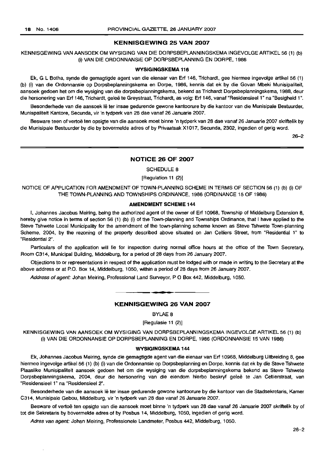#### **KENNISGEWING 25 VAN 2007**

KENNISGEWING VAN AANSOEK OM WYSIGING VAN DIE DORPSBEPLANNINGSKEMA INGEVOLGE ARTIKEL 56 (1) (b) (i) VAN DIE ORDONNANSIE OP DORPSBEPLANNING EN DORPE, 1986

#### **WVSIGINGSKEMA 116**

Ek, G L Botha, synde die gemagtigde agent van die eienaar van Erf 146, Trichardt, gee hiermee ingevolge artikel 56 (1) (b) (i) van die Ordonnansie op Dorpsbeplanningskema en Dorpe, 1986, kennis dat ek by die Govan Mbeki Munisipaliteit, aansoek gedoen het om die wysiging van die dorpsbeplanningskema, bekend as Trichardt Dorpsbeplanningskema, 1988, deur die hersonering van Erf 146, Trichardt, geleë te Greystraat, Trichardt, as volg: Erf 146, vanaf "Residensieel 1" na "Besigheid 1".

Besonderhede van die aansoek lê ter insae gedurende gewone kantoorure by die kantoor van die Munisipale Bestuurder, Munispaliteit Kantore, Secunda, vir 'n tydperk van 28 dae vanaf 26 Januarie 2007.

Besware teen of vertoe ten opsigte van die aansoek moet binne 'n tydperk van 28 dae vanaf 26 Januarie 2007 skriftelik by die Munisipale Bestuurder by die by bovermelde adres of by Privaatsak Xt 017, Secunda, 2302, ingedien of gerig word.

26-2

#### **NOTICE 26 OF 2007**

SCHEDULE 8

[Regulation 11 (2)]

NOTICE OF APPLICATION FOR AMENDMENT OF TOWN-PLANNING SCHEME IN TERMS OF SECTION 56 (1) (b) (i) OF THE TOWN-PLANNING AND TOWNSHIPS ORDINANCE, 1986 (ORDINANCE 15 OF 1986)

#### **AMENDMENT SCHEME 144**

I, Johannes Jacobus Meiring, being the authorized agent of the owner of Erf 10968, Township of Middelburg Extension 8, hereby give notice in terms of section 56 (1) (b) (i) of the Town-planning and Townships Ordinance, that I have applied to the Steve Tshwete Local Municipality for the amendment of the town-planning scheme known as Steve Tshwete Town-planning Scheme, 2004, by the rezoning of the property described above situated on Jan Celliers Street, from "Residential 1" to "Residential 2".

Particulars of the application will lie for inspection during normal office hours at the office of the Town Secretary, Room C314, Municipal Building, Middelburg, for a period of 28 days from 26 January 2007.

Objections to or representations in respect of the application must be lodged with or made in writing to the Secretary at the above address or at P.O. Box t4, Middelburg, 1050, within a period of 28 days from 26 January 2007.

Address of agent: Johan Meiring, Professional Land Surveyor, P O Box 442, Middelburg, 1050.

#### **KENNISGEWING 26 VAN 2007**

**•**

BYLAE 8

[Regulasie 1t (2)]

KENNISGEWING VAN AANSOEK OM WYSIGING VAN DORPSBEPLANNINGSKEMA INGEVOLGE ARTIKEL 56 (1) (b) (i) VAN DIE ORDONNANSIE OP DORPSBEPLANNING EN DORPE, 1986 (ORDONNANSIE t5 VAN t986)

#### **WVSIGINGSKEMA 144**

Ek, Johannes Jacobus Meiring, synde die gemagtigde agent van die eienaar van Erf 10968, Middelburg Uitbreiding 8, gee hiermee ingevolge artikel56 (1) (b) (i) van die Ordonnansie op Dorpsbeplanning en Dorpe, kennis dat ek by die Steve Tshwete Plaaslike Munisipaliteit aansoek gedoen het om die wysiging van die dorpsbeplanningskema bekend as Steve Tshwete Dorpsbeplanningskema, 2004, deur die hersonering van die eiendom hierbo beskryf gelee te Jan Cellierstraat, van "Residensieel 1" na "Residensieel 2".

Besonderhede van die aansoek lê ter insae gedurende gewone kantoorure by die kantoor van die Stadsekretaris, Kamer C314, Munisipale Gebou, Middelburg, vir 'n tydperk van 28 dae vanaf 26 Januarie 2007.

Besware of vertoë ten opsigte van die aansoek moet binne 'n tydperk van 28 dae vanaf 26 Januarie 2007 skriftelik by of tot die Sekretaris by bovermelde adres of by Posbus 14, Middelburg, 1050. ingedien of gerig word.

Adres van agent: Johan Meiring, Professionele Landmeter, Posbus 442, Middelburg, 1050.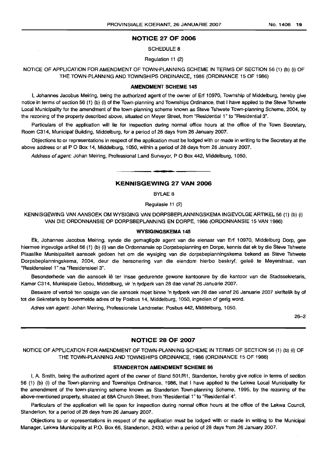#### **NOTICE 27 OF 2006**

#### SCHEDULE 8

Regulation 11 (2)

NOTICE OF APPLICATION FOR AMENDMENT OF TOWN-PLANNING SCHEME IN TERMS OF SECTION 56 (1) (b) (i) OF THE TOWN-PLANNING AND TOWNSHIPS ORDINANCE, 1986 (ORDINANCE 15 OF 1986)

#### **AMENDMENT SCHEME 145**

I, Johannes Jacobus Meiring, being the authorized agent of the owner of Erf 10970, Township of Middelburg, hereby give notice in terms of section 56 (1) (b) (i) of the Town-planning and Townships Ordinance, that I have applied to the Steve Tshwete Local Municipality for the amendment of the town-planning scheme known as Steve Tshwete Town-planning Scheme, 2004, by the rezoning of the property described above, situated on Meyer Street, from "Residential 1" to "Residential 3".

Particulars of the application will lie for inspection during normal office hours at the office of the Town Secretary, Room C314, Municipal Building, Middelburg, for a period of 28 days from 26 January 2007.

Objections to or representations in respect of the application must be lodged with or made in writing to the Secretary at the above address or at P O Box 14, Middelburg, 1050, within a period of 28 days from 26 January 2007.

Address of agent: Johan Meiring, Professional Land Surveyor, P O Box 442, Middelburg, 1050.

#### **KENNISGEWING 27 VAN 2006**

BYLAE 8

Regulasie 11 (2)

KENNISGEWING VAN AANSOEK OM WYSIGING VAN DORPSBEPLANNINGSKEMA INGEVOLGE ARTIKEL 56 (1) (b) (i) VAN DIE ORDONNANSIE OP DORPSBEPLANNING EN DORPE, 1986 (ORDONNANSIE 15 VAN 1986)

#### **WYSIGINGSKEMA** 145

Ek, Johannes Jacobus Meiring, synde die gemagtigde agent van die eienaar van Erf 10970, Middelburg Dorp, gee hiermee ingevolge artikel 56 (1) (b) (i) van die Ordonnansie op Dorpsbeplanning en Dorpe, kennis dat ek by die Steve Tshwete Plaaslike Munisipaliteit aansoek gedoen het om die wysiging van die dorpsbeplanningskema bekend as Steve Tshwete Dorpsbeplanningskema, 2004, deur die hersonering van die eiendom hierbo beskryf, gelee te Meyerstraat, van "Residensieel 1" na "Residensieel 3".

Besonderhede van die aansoek lê ter insae gedurende gewone kantoorure by die kantoor van die Stadssekretaris, Kamer C314, Munisipale Gebou, Middelburg, vir 'n tydperk van 28 dae vanaf 26 Januarie 2007.

Besware of vertoë ten opsigte van die aansoek moet binne 'n tydperk van 28 dae vanaf 26 Januarie 2007 skriftelik by of tot die Sekretaris by bovermelde adres of by Posbus 14, Middelburg, 1050, ingedien of gerig word.

Adres van agent: Johan Meiring, Professionele Landmeter, Posbus 442, Middelburg, 1050.

 $26 - 2$ 

#### **NOTICE 28 OF 2007**

NOTICE OF APPLICATION FOR AMENDMENT OF TOWN-PLANNING SCHEME IN TERMS OF SECTION 56 (1) (b) (i) OF THE TOWN-PLANNING AND TOWNSHIPS ORDINANCE, 1986 (ORDINANCE 15 OF 1986)

#### **STANDERTON AMENDMENT SCHEME 86**

I, A. Smith, being the authorized agent of the owner of Stand 501/R1, Standerton, hereby give notice in terms of section 56 (1) (b) (i) of the Town-planning and Townships Ordinance, 1986, that I have applied to the Lekwa Local Municipality for the amendment of the town-planning scheme known as Standerton Town-planning Scheme, 1995, by the rezoning of the above-mentioned property, situated at 68A Church Street, from "Residential 1" to "Residential 4".

Particulars of the application will lie open for inspection during normal office hours at the office of the Lekwa Council, Standerton, for a period of 28 days from 26 January 2007.

Objections to or representations in respect of the application must be lodged with or made in writing to the Municipal Manager, Lekwa Municipality at P.O. Box 66, Standerton, 2430, within a period of 28 days from 26 January 2007.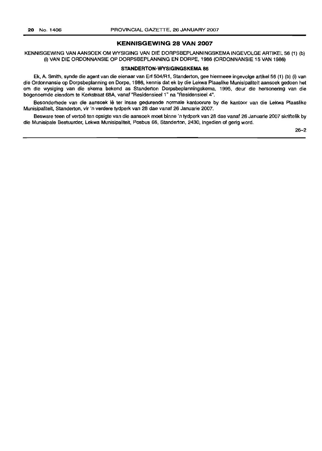#### **KENNISGEWING 28 VAN 2007**

KENNISGEWING VAN AANSOEK OM WYSIGING VAN DIE DORPSBEPLANNINGSKEMA INGEVOLGE ARTIKEL 56 (1) (b) (i) VAN DIE ORDONNANSIE OP DORPSBEPLANNING EN DORPE, 1986 (ORDONNANSIE 15 VAN 1986)

#### STANDERTON-WYSIGINGSKEMA 86

Ek, A. Smith, synde die agent van die eienaar van Erf 504/R1, Standerton, gee hiermeee ingevolge artikel 56 (1) (b) (i) van die Ordonnansie op Dorpsbeplanning en Dorpe, 1986, kennis dat ek by die Lekwa Plaaslike Munisipaliteit aansoek gedoen het om die wysiging van die skema bekend as Standerton Dorpsbeplanningskema, 1995, deur die hersonering van die bogenoemde eiendom te Kerkstraat 68A, vanaf "Residensieel 1" na "Residensieel 4".

Besonderhede van die aansoek lê ter insae gedurende normale kantoorure by die kantoor van die Lekwa Plaaslike Munisipaliteit, Standerton, vir 'n verdere tydperk van 28 dae vanaf 26 Januarie 2007.

Besware teen of vertoe ten opsigte van die aansoek moet binne 'n tydperk van 28 dae vanaf 26 Januarie 2007 skriflelik by die Munisipale Bestuurder, Lekwa Munisipaliteit, Posbus 66, Standerton, 2430, ingedien of gerig word.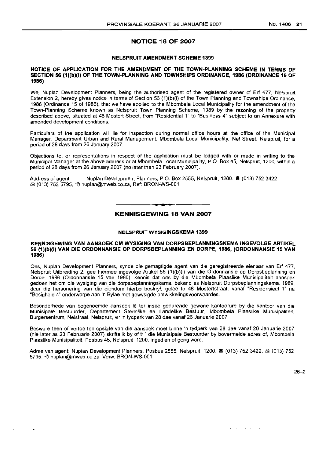#### **NOTICE 18 OF 2007**

#### **NELSPRUIT AMENDMENT SCHEME 1399**

#### **NOTICE OF APPLICATION FOR THE AMENDMENT OF THE TOWN-PLANNING SCHEME IN TERMS OF SECTION 56 (1)(b)(i) OF THE TOWN-PLANNING AND TOWNSHIPS ORDINANCE, 1986 (ORDINANCE 15 OF 1986)**

We, Nuplan Development Planners, being the authorised agent of the registered owner of Erf 477, Nelspruit Extension 2, hereby gives notice in terms of Section 56 (1)(b)(i) of the Town Planning and Townships Ordinance, 1986 (Ordinance 15 of 1986), that we have applied to the Mbombela Local Municipality for the amendment of the Town-Planning Scheme known as Nelspruit Town Planning Scheme, 1989 by the rezoning of the property described above, situated at 46 Mostert Street, from "Residential 1" to "Business 4" subject to an Annexure with amended development conditions.

Particulars of the application will lie for inspection during normal office hours at the office of the Municipal Manager, Department Urban and Rural Management, Mbombela Local Municipality, Nel Street, Nelspruit, for a period of 28 days from 26 January 2007.

Objections to, or representations in respect of the application must be lodged with or made in writing to the Municipal Manager at the above address or at Mbombela Local Municipality, P.O. Box 45, Nelspruit, 1200, within a period of 28 days from 26 January 2007 (no later than 23 February 2007).

Address of agent: Nuplan Development Planners, P.O. Box 2555, Nelspruit, 1200. 8 (013) 752 3422 ta (013) 752 5795, . <sup>4</sup>th nuplan@mweb.co.za, Ref: BRON-WS-001

## **• KENNISGEWING 18 VAN 2007**

#### **NELSPRUIT WY51GINGSKEMA 1399**

#### **KENNISGEWING VAN AANSOEK OM WYSIGING VAN DORPSBEPLANNINGSKEMA INGEVOLGE ARTIKEl 56 (1)(b)(i) VAN DIE ORDONNANSIE OP DORPSBEPLANNING EN DORPE, 1986, (ORDONNANSIE 15 VAN 1986)**

Ons, Nuplan Development Planners, synde die gemagtigde agent van die geregistreerde eienaar van Erf 477, Nelspruit Uitbreiding 2, gee hiermee ingevolge Artikel 56 (1)(b)(i) van die Ordonnansie op Dorpsbeplanning en Dorpe. 1986 (Ordonnansie 15 van 1986), kennis dat ons by die Mbombela Plaaslike Munisipaliteit aansoek gedoen het om die wysiging van die dorpsbeplanningskema, bekend as Nelspruit Dorpsbeplanningskema, 1989, deur die hersonering van die eiendom hierbo beskryf, gelee te 46 Mostertstraat, vanaf "Residensieel 1" na "Besigheid 4" onderworpe aan 'n Bylae met gewysigde ontwikkelingsvoorwaardes.

Besonderhede van bogenoemde aansoek Ie ter insae gedurende gewone kantoorure by die kantoor van die Munisipale Bestuurder, Departement Stedo'ike en Landelike Bestuur. Mbombela Plaaslike Munisipaliteit, Burgersentrum, Nelstraat, Nelspruit, vir 'n tydperk van 28 dae vanaf 26 Januarie 2007.

Besware teen of vertoë ten opsigte van die aansoek moet binne 'n tydperk van 28 dae vanaf 26 Januarie 2007 (nie later as 23 Februarie 2007) skriftelik by of t- . die Munisipale Bestuurder by bovermelde adres of, Mbombela Plaaslike Munisipaliteit, Posbus 45, Nelspruit, 1200, ingedien of gerig word.

Adres van agent: Nuplan Development Planners, Posbus 2555, Nelspruit, 1200. 8 (013) 752 3422,  $\oplus$  (013) 752 5795, nuplan@mweb.co.za, Verw: BRON-WS-001

26-2

and a strategic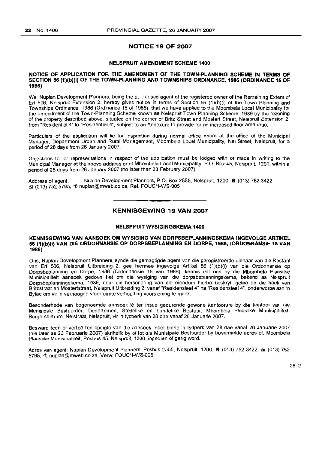#### **NOTICE 19 OF 2007**

#### **NELSPRUIT AMENDMENT SCHEME 1400**

#### **NOTICE OF APPUCATION FOR THE AMENDMENT OF THE TOWN·PLANNING SCHEME IN TERMS OF SECTION 56 (1)(b)(i) OF THE TOWN-PLANNING AND TOWNSHIPS ORDINANCE, 1986 (ORDINANCE 15 OF 1986)**

We, Nuplan Development Planners, being the all horised agent of the registered owner of the Remaining Extent of Erf 506, Nelspruit Extension 2, hereby gives notice in terms of Section 56 (1)(b)(i) of the Town Planning and Townships Ordinance, 1986 (Ordinance 15 of 1986), that we have applied to the Mbombela Local Municipality for the amendment of the Town-Planning Scheme known as Nelspruit Town Planning Scheme, 1989 by the rezoning of the property described above, situated on the corner of Britz Street and Mostert Street, Nelspruit Extension 2, from "Residential 4" to "Residential 4", subject to an Annexure to provide for an increased floor area ratio.

Particulars of the application will lie for inspection during normal office hours at the office of the Municipal Manager, Department Urban and Rural Management, Mbombela Local Municipality, Nel Street, Nelspruit, for a period of 28 days from 26 January 2007.

Objections to, or representations in respect of the application must be lodged with or made in writing to the Municipal Manager at the above address or at Mbombela Local Municipality, P.O. Box 45, Nelspruit, 1200, within a period of 28 days from 26 January 2007 (no later than 23 February 2007).

Address of agent: Nuplan Development Planners, P.O. Box 2555, Nelspruit, 1200. **6** (013) 752 3422 **△ (013) 752 5795, 个 nuplan@mweb.co.za, Ref: FOUCH-WS-005** 

## **KENNISGEWING 19 VAN 2007**

#### **NELSPRUIT WYSIGINGSKEMA 1400**

#### **KENNISGEWING VAN AANSOEK OM WYSIGING VAN DORPSBEPLANNINGSKEMA INGEVOLGE ARTIKEL 56 (1)(b){i) VAN DIE ORDONNANSIE OP DORPSBEPLANNING EN DORPE, 1986, (ORDONNANSIE 15 VAN 1986)**

Ons, Nuplan Development Planners, synde die gemagtigde agent van die geregistreerde eienaar van die Restant van Erf 506, Nelspruit Uitbreiding 2, gee hiermee ingevolge Artikel 56 (1)(b)(i) van die Ordonnansie op Dorpsbeplanning en Dorpe, 1986 (Ordonnansie 15 van 1986), kennis dat ons by die Mbombela Plaaslike Munisipaliteit aansoek gedoen het om die wysiging van die dorpsbeplanningskema, bekend as Nelspruit Dorpsbeplanningskema, 1989, deur die hersonering van die eiendom hierbo beskryf, gelee op die hoek van Britzstraat en Mostertstraat, Nelspruit Uitbreiding 2, vanaf "ResidensieeI4" na "ResidensieeI4", onderworpe aan 'n Bylae om vir 'n verhoogde vloerruimte verhouding voorsiening te maak.

Besonderhede van bogenoemde aansoek lê ter insae gedurende gewone kantoorure by die kantoor van die Munisipale Bestuurder, Departement Stedelike en Landelike Bestuur, Mbombela Plaaslike Munisipaliteil, Burgersentrum, Nelstraat, Nelspruit, vir 'n tydperk van 28 dae vanaf 26 Januarie 2007.

Besware teen of vertoe ten opsigte van die aansoek moet binne 'n tydperk van 28 dae vanaf 26 Januarie 2007 (nie later as 23 Februarie 2007) skriftelik by of tot die Munisipale Bestuurder by bovermelde adres of, Mbombela Plaaslike Munisipaliteit, Posbus 45, Nelspruit, 1200, ingedien of gerig word.

Adres van agent: Nuplan Development Planners, Posbus 2555, Nelspruit, 1200. 8 (013) 752 3422,  $\equiv$  (013) 752 5795, Orthuplan@mweb.co.za, Verw: FOUCH-WS-005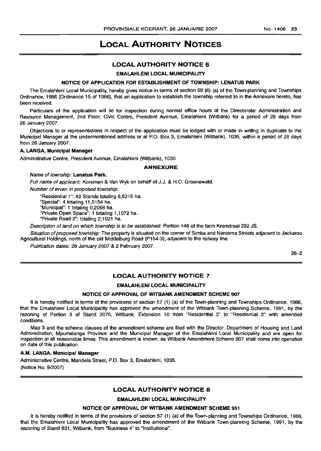## LOCAL AUTHORITY NOTICES

#### LOCAL AUTHORITY NOTICE 6

EMALAHLENI LOCAL MUNICIPALITY

#### NOTICE OF APPLICATION FOA ESTABLISHMENT OF TOWNSHIP: LENATUS PARK

The Emalahleni Local Municipality, hereby gives notice in terms of section 69 (6) (a) of the Town-planning and Townships Ordinance, 1986 (Ordinance 15 of 1986), that an application to establish the township referred to in the Annexure hereto, has been received.

Particulars of the application will lie for inspection during normal office hours at the Directorate: Administration and Resource Management, 2nd Floor, Civic Centre, President Avenue, Emalahleni (Witbank) for a period of 28 days from 26 January 2007.

Objections to or representations in respect of the application must be lodged with or made in writing in duplicate to the Municipal Manager at the undermentioned address or at P.O. Box 3, Emalahleni (Witbank), 1035, within a period of 28 days from 26 January 2007.

#### A. LANGA, Municipal Manager

Administrative Centre, President Avenue, Emalahleni (Witbank), 1035

#### ANNEXURE

Name of township: Lenatus Park.

Full name of applicant: Korsman & Van Wyk on behalf of J.J. & H.C. Groenewald.

Number of erven in proposed township:

"Residential 1'': 43 Stands totaling 6,5215 ha. "Special": 4 totaling 11,5154 ha. "Municipal": 1 totaling 0,2098 ha. "Private Open Space": 1 totaling 1,1072 ha. "Private Road 2": totaling 2,1021 ha.

Description of iand on which township is to *be* established: Portion 146 of the farm Kromdraai 292 JS.

Situation of proposed township: The property is situated on the corner of Simba and Narooma Streets adjacent to Jackaroo Agricultural Holdings, north of the old Middelburg Road (P154-3), adjacent to the railway line.

Publication dates: 26 January 2007 & 2 February 2007.

26-2

#### LOCAL AUTHORITY NOTICE 7

#### EMALAHLENI LOCAL MUNICIPALITY

#### NOTICE OF APPROVAL OF WITBANK AMENDMENT SCHEME 907

It is hereby notified in terms of the provisions of section 57 (1) (a) of the Town-planning and Townships Ordinance, 1986, that the Emalahleni Local Municipality has approved the amendment of the Witbank Town-planning Scheme, 1991, by the rezoning of Portion 3 of Stand 2075, Witbank, Extension 10 from "Residential 2" to "Residential 2" with amended conditions.

Map 3 and the scheme clauses of the amendment scheme are filed with the Director: Department of Housing and Land Administration, Mpumalanga Province and the Municipal Manager of the Emalahleni Local Municipality and are open for inspection at all reasonable times. This amendment is known, as Witbank Amendment Scheme 907 shall come into operation on date of this publication.

#### A.M. LANGA, Municipal Manager

Administrative Centre, Mandela Street, P.O. Box 3, Emalahleni, 1035. (Notice No. 9/2007)

#### LOCAL AUTHORITY NOTICE 8

#### EMALAHLENI LOCAL MUNICIPALITY

#### NOTICE OF APPROVAL OF WITBANK AMENDMENT SCHEME 951

It is hereby notified in terms of the provisions of section 57 (1) (a) of the Town-planning and Townships Ordinance, 1986, that the Emalahleni Local Municipality has approved the amendment of the Witbank Town-planning Scheme, 1991, by the rezoning of Stand 631, Witbank, from "Business 4" to "Institutional".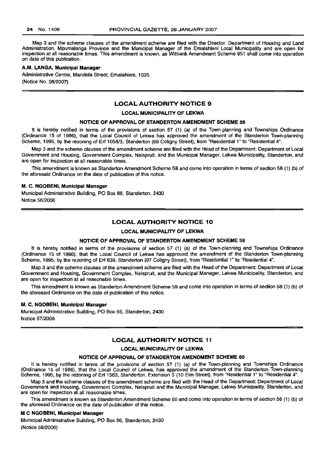Map 3 and the scheme clauses of the amendment scheme are filed with the Director: Department of Housing and Land Administration, Mpumalanga Province and the Municipal Manager of the Emalahleni Local Municipality and are open for inspection at all reasonable times. This amendment is known, as Witbank Amendment Scheme 951 shall come into operation on date of this publication.

#### A.M. LANGA, Municipal Manager

Administrative Centre, Mandela Street, Emalahleni, 1035. (Notice No. 08/2007)

#### LOCAL AUTHORITY NOTICE 9

#### LOCAL MUNICIPALITY OF LEKWA

#### NOTICE OF APPROVAL OF STANDERTON AMENDMENT SCHEME 58

It is hereby notified in terms of the provisions of section 57 (1) (a) of the Town-planning and Townships Ordinance (Ordinance 15 of 1986), that the Local Council of Lekwa has approved the amendment of the Standerton Town-planning Scheme, 1995, by the rezoning of Erf 1058/3, Standerton (68 COligny Street), from "Residential 1" to "Residential 4".

Map 3 and the scheme clauses of the amendment scheme are filed with the Head of the Department: Department of Local Government and Housing, Government Complex, Nelspruit, and the Municipal Manager, Lekwa Municipality, Standerton, and are open for inspection at all reasonable times.

This amendment is known as Standerton Amendment Scheme 58 and come into operation in terms of section 58 (1) (b) of the aforesaid Ordinance on the date of publication of this notice.

#### M. C. NGOBENI, Municipal Manager

Municipal Administrative Building, PO Box 66, Standerton, 2430 Notice 56/2006

#### LOCAL AUTHORITY NOTICE 10

#### LOCAL MUNICIPALITY OF LEKWA

#### NOTICE OF APPROVAL OF STANDERTON AMENDMENT SCHEME 59

It is hereby notified in terms of the provisions of section 57 (1) (a) of the Town-planning and Townships Ordinance (Ordinance 15 of 1986), that the Local Council of Lekwa has approved the amendment of the Standerton Town-planning Scheme, 1995, by the rezoning of Erf 639, Standerton (97 Coligny Street), from "Residential 1" to "Residential 4".

Map 3 and the scheme clauses of the amendment scheme are filed with the Head of the Department: Department of Local Government and Housing, Government Complex, Nelspruit, and the Municipal Manager, Lekwa Municipality, Standerton, and are open for inspection at all reasonable times.

This amendment is known as Standerton Amendment Scheme 59 and come into operation in terms of section 58 (1) (b) of the aforesaid Ordinance on the date of publication of this notice.

#### M. C. NGOBENI, Municipal Manager

Municipal Administrative Building, PO Box 66, Standerton, 2430 Notice 57/2006

#### LOCAL AUTHORITY NOTICE 11

#### LOCAL MUNICIPALITY OF LEKWA

#### NOTICE OF APPROVAL OF STANDERTON AMENDMENT SCHEME 60

It is hereby notified in terms of the provisions of section 57 (1) (a) of the Town-planning and Townships Ordinance (Ordinance 15 of 1986), that the Local Council of Lekwa, has approved the amendment of the Standerton Town-planning Scheme, 1995, by the rezoning of Erf 1563, Standerton, Extension 3 (10 Elm Street), from "Residential 1" to "Residential 4".

Map 3 and the scheme clauses of the amendment scheme are filed with the Head of the Department: Department of Local Government and Housing, Government Complex, Nelspruit and the Municipal Manager, Lekwa Municipality, Standerton, and are open for inspection at all reasonable times.

This amendment is known as Standerton Amendment Scheme 60 and come into operation in terms of section 58 (1) (b) of the aforesaid Ordinance on the date of publication of this notice.

#### M C NGOBENI, Municipal Manager

Municipal Administrative Building, PO Box 66, Standerton, 2430 (Notice 58/2006)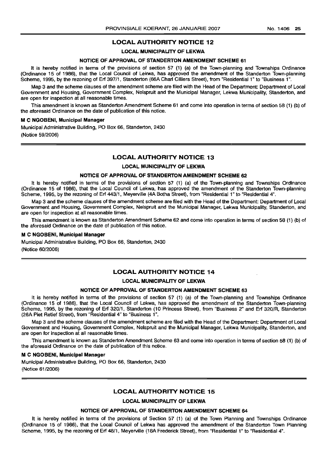#### **LOCAL AUTHORITY NOTICE 12**

#### **LOCAL MUNICIPALITY OF LEKWA**

#### **NOTICE OF APPROVAL OF STANDERTON AMENDMENT SCHEME 61**

It is hereby notified in terms of the provisions of section 57 (1) (a) of the Town-planning and Townships Ordinance (Ordinance 15 of 1986), that the Local Council of Lekwa, has approved the amendment of the Standerton Town-planning Scheme, 1995, by the rezoning of Erf 397/1, Standerton (66A Chari Cilliers Street), from "Residential 1" to "Business 1".

Map 3 and the scheme clauses of the amendment scheme are filed with the Head of the Department: Department of Local Government and Housing, Government Complex, Nelspruit and the Municipal Manager, Lekwa Municipality, Standerton, and are open for inspection at all reasonable times.

This amendment is known as Standerton Amendment Scheme 61 and come into operation in terms of section 58 (1) (b) of the aforesaid Ordinance on the date of publication of this notice.

#### M **C NGOBENI, Municipal Manager**

Municipal Administrative Building, PO Box 66, Standerton, 2430 (Notice 59/2006)

#### **LOCAL AUTHORITY NOTICE 13**

#### **LOCAL MUNICIPALITY OF LEKWA**

#### **NOTICE OF APPROVAL OF STANDERTON AMENDMENT SCHEME 62**

It is hereby notified in terms of the provisions of section 57 (1) (a) of the Town-planning and Townships Ordinance (Ordinance 15 of 1986), that the Local Council of Lekwa, has approved the amendment of the Standerton Town-planning Scheme, 1995, by the rezoning of Erf 443/1, Meyerville (4A Botha Street), from "Residential 1" to "Residential 4".

Map 3 and the scheme clauses of the amendment scheme are filed with the Head of the Department: Department of Local Government and Housing, Government Complex, Nelspruit and the Municipal Manager, Lekwa Municipality, Standerton, and are open for inspection at all reasonable times.

This amendment is known as Standerton Amendment Scheme 62 and come into operation in terms of section 58 (1) (b) of the aforesaid Ordinance on the date of publication of this notice.

#### M **C NGOBENI, Municipal Manager**

Municipal Administrative Building, PO Box 66, Standerton, 2430 (Notice 60/2006)

#### **LOCAL AUTHORITY NOTICE 14**

#### **LOCAL MUNICIPALITY OF LEKWA**

#### **NOTICE OF APPROVAL OF STANDERTON AMENDMENT SCHEME 63**

It is hereby notified in terms of the provisions of section 57 (1) (a) of the Town-planning and Townships Ordinance (Ordinance 15 of 1986), that the Local Council of Lekwa, has approved the amendment of the Standerton Town-planning Scheme, 1995, by the rezoning of Erf 320/1, Standerton (10 Princess Street), from "Business 2" and Erf 320/R, Standerton (26A Piet Retief Street), from "Residential 4" to "Business 1".

Map 3 and the scheme clauses of the amendment scheme are filed with the Head of the Department: Department of Local Government and Housing, Government Complex, Nelspruit and the Municipal Manager, Lekwa Municipality, Standerton, and are open for inspection at all reasonable times.

This amendment is known as Standerton Amendment Scheme 63 and come into operation in terms of section 58 (1) (b) of the aforesaid Ordinance on the date of publication of this notice.

#### M **C NGOBENI, Municipal Manager**

Municipal Administrative Building, PO Box 66, Standerton, 2430 (Notice 61/2006)

#### **LOCAL AUTHORITY NOTICE 15**

#### **LOCAL MUNICIPALITY OF LEKWA**

#### **NOTICE OF APPROVAL OF STANDERTON AMENDMENT SCHEME 64**

It is hereby notified in terms of the provisions of Section 57 (1) (a) of the Town Planning and Townships Ordinance (Ordinance 15 of 1986), that the Local Council of Lekwa has approved the amendment of the Standerton Town Planning Scheme, 1995, by the rezoning of Erf 48/1, Meyerville (18A Frederick Street), from "Residential 1" to "Residential 4".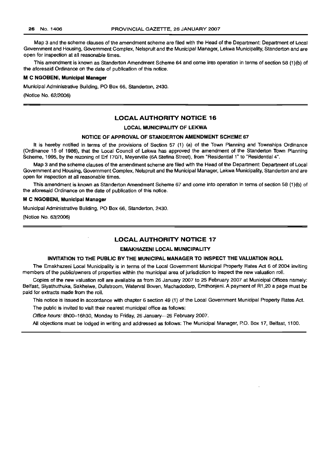Map 3 and the scheme clauses of the amendment scheme are filed with the Head of the Department: Department of Local Government and Housing, Government Complex, Nelspruit and the Municipal Manager, Lekwa Municipality, Standerton and are open for inspection at all reasonable times.

This amendment is known as Standerton Amendment Scheme 64 and come into operation in terms of section 58 (1)(b) of the aforesaid Ordinance on the date of publication of this notice.

#### M C NGOBENI, Municipal Manager

Municipal Administrative Building, PO Box 66, Standerton, 2430.

(Notice No. 62/2006)

#### LOCAL AUTHORITY NOTICE 16

#### LOCAL MUNICIPALITY OF LEKWA

#### NOTICE OF APPROVAL OF STANDERTON AMENDMENT SCHEME 67

It is hereby notified in terms of the provisions of Section 57 (1) (a) of the Town Planning and Townships Ordinance (Ordinance 15 of 1986), that the Local Council of Lekwa has approved the amendment of the Standerton Town Planning Scheme, 1995, by the rezoning of Erf 170/1, Meyerville (6A Stefina Street), from "Residential 1" to "Residential 4".

Map 3 and the scheme clauses of the amendment scheme are filed with the Head of the Department: Department of Local Government and Housing, Government Complex, Nelspruit and the Municipal Manager, Lekwa Municipality, Standerton and are open for inspection at all reasonable times.

This amendment is known as Standerton Amendment Scheme 67 and come into operation in terms of section 58 (1)(b) of the aforesaid Ordinance on the date of publication of this notice.

#### M C NGOBENI, Municipal Manager

Municipal Administrative Building, PO Box 66, Standerton, 2430.

(Notice No. 63/2006)

#### LOCAL AUTHORITY NOTICE 17

#### EMAKHAZENI LOCAL MUNICIPALITY

#### INVITATION TO THE PUBLIC BY THE MUNICIPAL MANAGER TO INSPECT THE VALUATION ROLL

The Emakhazeni Local Municipality is in terms of the Local Government Municipal Property Rates Act 6 of 2004 inviting members of the public/owners of properties within the municipal area of jurisdiction to inspect the new valuation roll.

Copies of the new valuation roll are available as from 26 January 2007 to 25 February 2007 at Municipal Offices namely: Belfast, Siyathuthuka, Sakheiwe, Dullstroom, Waterval Boven, Machadodorp, Emthonjeni. A payment of R1 ,20 a page must be paid for extracts made from the roll.

This notice is issued in accordance with chapter 6 section 49 (1) of the Local Government Municipal Property Rates Act. The public is invited to visit their nearest municipal office as follows:

Office hours: 8hOD-16h30, Monday to Friday, 26 January-26 February 2007.

All objections must be lodged in writing and addressed as follows: The Municipal Manager, P.O. Box 17, Belfast, 1100.